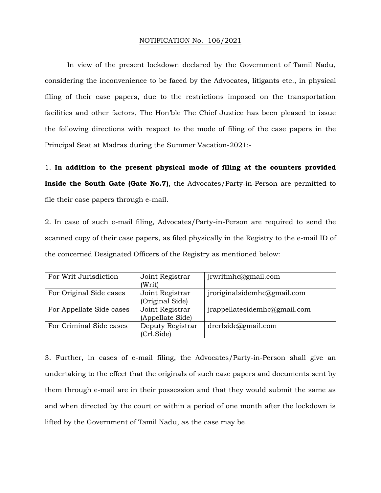## NOTIFICATION No. 106/2021

In view of the present lockdown declared by the Government of Tamil Nadu, considering the inconvenience to be faced by the Advocates, litigants etc., in physical filing of their case papers, due to the restrictions imposed on the transportation facilities and other factors, The Hon'ble The Chief Justice has been pleased to issue the following directions with respect to the mode of filing of the case papers in the Principal Seat at Madras during the Summer Vacation-2021:-

1. **In addition to the present physical mode of filing at the counters provided inside the South Gate (Gate No.7)**, the Advocates/Party-in-Person are permitted to file their case papers through e-mail.

2. In case of such e-mail filing, Advocates/Party-in-Person are required to send the scanned copy of their case papers, as filed physically in the Registry to the e-mail ID of the concerned Designated Officers of the Registry as mentioned below:

| For Writ Jurisdiction    | Joint Registrar  | jrwritmhc@gmail.com          |
|--------------------------|------------------|------------------------------|
|                          | (Writ)           |                              |
| For Original Side cases  | Joint Registrar  | jroriginalsidemhc@gmail.com  |
|                          | (Original Side)  |                              |
| For Appellate Side cases | Joint Registrar  | jrappellatesidemhc@gmail.com |
|                          | (Appellate Side) |                              |
| For Criminal Side cases  | Deputy Registrar | drcrlside@gmail.com          |
|                          | (Crl.Side)       |                              |

3. Further, in cases of e-mail filing, the Advocates/Party-in-Person shall give an undertaking to the effect that the originals of such case papers and documents sent by them through e-mail are in their possession and that they would submit the same as and when directed by the court or within a period of one month after the lockdown is lifted by the Government of Tamil Nadu, as the case may be.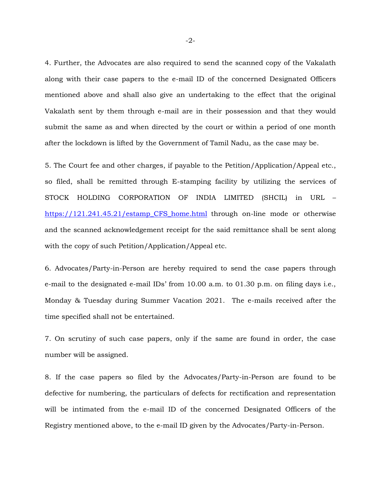4. Further, the Advocates are also required to send the scanned copy of the Vakalath along with their case papers to the e-mail ID of the concerned Designated Officers mentioned above and shall also give an undertaking to the effect that the original Vakalath sent by them through e-mail are in their possession and that they would submit the same as and when directed by the court or within a period of one month after the lockdown is lifted by the Government of Tamil Nadu, as the case may be.

5. The Court fee and other charges, if payable to the Petition/Application/Appeal etc., so filed, shall be remitted through E-stamping facility by utilizing the services of STOCK HOLDING CORPORATION OF INDIA LIMITED (SHCIL) in URL – [https://121.241.45.21/estamp\\_CFS\\_home.html](https://121.241.45.21/estamp_CFS_home.html) through on-line mode or otherwise and the scanned acknowledgement receipt for the said remittance shall be sent along with the copy of such Petition/Application/Appeal etc.

6. Advocates/Party-in-Person are hereby required to send the case papers through e-mail to the designated e-mail IDs' from 10.00 a.m. to 01.30 p.m. on filing days i.e., Monday & Tuesday during Summer Vacation 2021. The e-mails received after the time specified shall not be entertained.

7. On scrutiny of such case papers, only if the same are found in order, the case number will be assigned.

8. If the case papers so filed by the Advocates/Party-in-Person are found to be defective for numbering, the particulars of defects for rectification and representation will be intimated from the e-mail ID of the concerned Designated Officers of the Registry mentioned above, to the e-mail ID given by the Advocates/Party-in-Person.